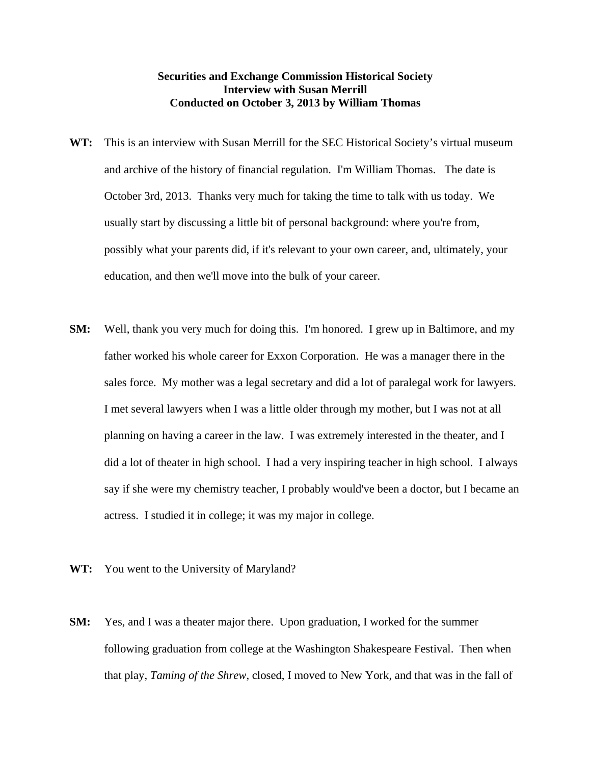## **Securities and Exchange Commission Historical Society Interview with Susan Merrill Conducted on October 3, 2013 by William Thomas**

- **WT:** This is an interview with Susan Merrill for the SEC Historical Society's virtual museum and archive of the history of financial regulation. I'm William Thomas. The date is October 3rd, 2013. Thanks very much for taking the time to talk with us today. We usually start by discussing a little bit of personal background: where you're from, possibly what your parents did, if it's relevant to your own career, and, ultimately, your education, and then we'll move into the bulk of your career.
- **SM:** Well, thank you very much for doing this. I'm honored. I grew up in Baltimore, and my father worked his whole career for Exxon Corporation. He was a manager there in the sales force. My mother was a legal secretary and did a lot of paralegal work for lawyers. I met several lawyers when I was a little older through my mother, but I was not at all planning on having a career in the law. I was extremely interested in the theater, and I did a lot of theater in high school. I had a very inspiring teacher in high school. I always say if she were my chemistry teacher, I probably would've been a doctor, but I became an actress. I studied it in college; it was my major in college.
- **WT:** You went to the University of Maryland?
- **SM:** Yes, and I was a theater major there. Upon graduation, I worked for the summer following graduation from college at the Washington Shakespeare Festival. Then when that play, *Taming of the Shrew*, closed, I moved to New York, and that was in the fall of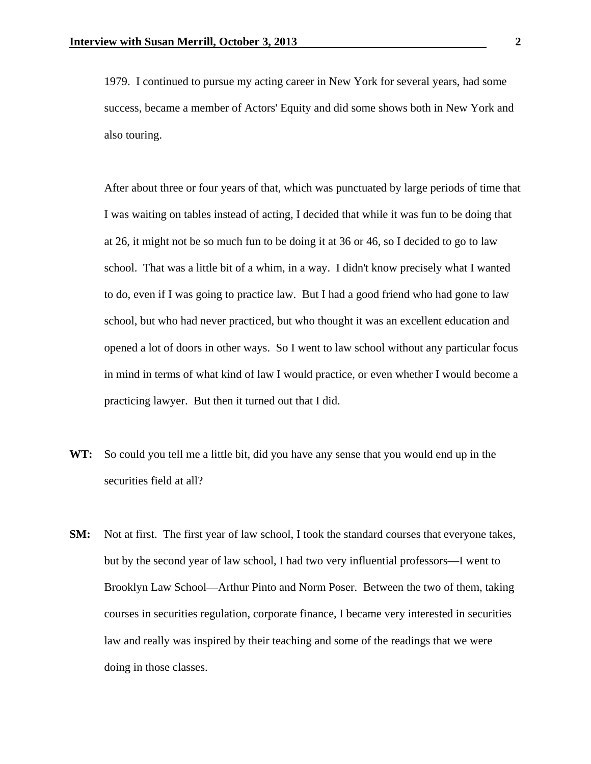1979. I continued to pursue my acting career in New York for several years, had some success, became a member of Actors' Equity and did some shows both in New York and also touring.

 After about three or four years of that, which was punctuated by large periods of time that I was waiting on tables instead of acting, I decided that while it was fun to be doing that at 26, it might not be so much fun to be doing it at 36 or 46, so I decided to go to law school. That was a little bit of a whim, in a way. I didn't know precisely what I wanted to do, even if I was going to practice law. But I had a good friend who had gone to law school, but who had never practiced, but who thought it was an excellent education and opened a lot of doors in other ways. So I went to law school without any particular focus in mind in terms of what kind of law I would practice, or even whether I would become a practicing lawyer. But then it turned out that I did.

- **WT:** So could you tell me a little bit, did you have any sense that you would end up in the securities field at all?
- **SM:** Not at first. The first year of law school, I took the standard courses that everyone takes, but by the second year of law school, I had two very influential professors—I went to Brooklyn Law School—Arthur Pinto and Norm Poser. Between the two of them, taking courses in securities regulation, corporate finance, I became very interested in securities law and really was inspired by their teaching and some of the readings that we were doing in those classes.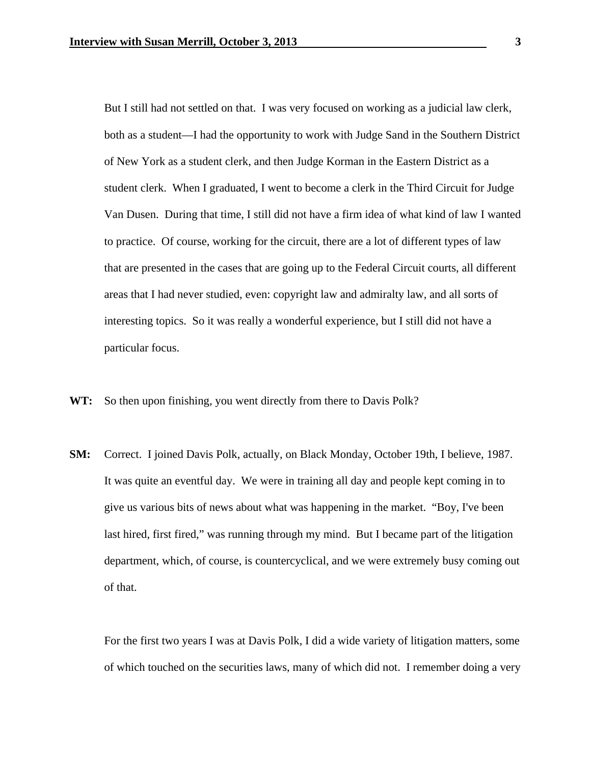But I still had not settled on that. I was very focused on working as a judicial law clerk, both as a student—I had the opportunity to work with Judge Sand in the Southern District of New York as a student clerk, and then Judge Korman in the Eastern District as a student clerk. When I graduated, I went to become a clerk in the Third Circuit for Judge Van Dusen. During that time, I still did not have a firm idea of what kind of law I wanted to practice. Of course, working for the circuit, there are a lot of different types of law that are presented in the cases that are going up to the Federal Circuit courts, all different areas that I had never studied, even: copyright law and admiralty law, and all sorts of interesting topics. So it was really a wonderful experience, but I still did not have a particular focus.

**WT:** So then upon finishing, you went directly from there to Davis Polk?

**SM:** Correct. I joined Davis Polk, actually, on Black Monday, October 19th, I believe, 1987. It was quite an eventful day. We were in training all day and people kept coming in to give us various bits of news about what was happening in the market. "Boy, I've been last hired, first fired," was running through my mind. But I became part of the litigation department, which, of course, is countercyclical, and we were extremely busy coming out of that.

 For the first two years I was at Davis Polk, I did a wide variety of litigation matters, some of which touched on the securities laws, many of which did not. I remember doing a very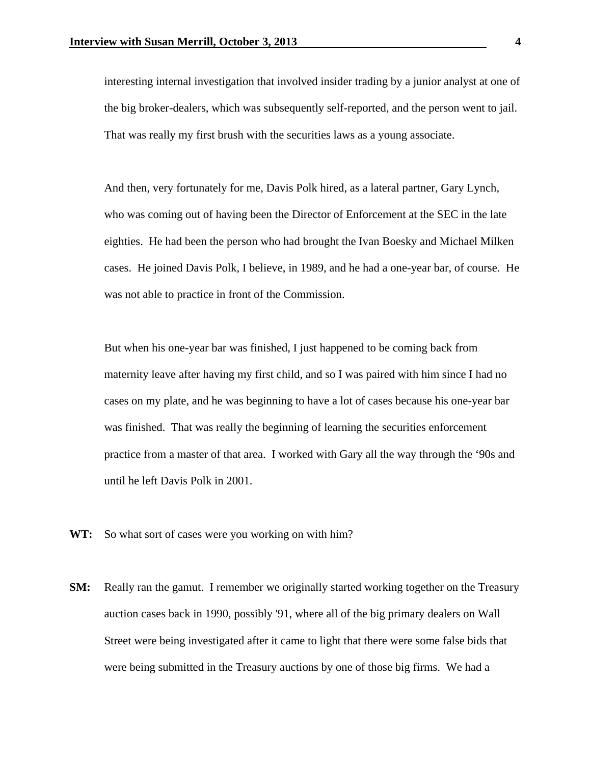interesting internal investigation that involved insider trading by a junior analyst at one of the big broker-dealers, which was subsequently self-reported, and the person went to jail. That was really my first brush with the securities laws as a young associate.

 And then, very fortunately for me, Davis Polk hired, as a lateral partner, Gary Lynch, who was coming out of having been the Director of Enforcement at the SEC in the late eighties. He had been the person who had brought the Ivan Boesky and Michael Milken cases. He joined Davis Polk, I believe, in 1989, and he had a one-year bar, of course. He was not able to practice in front of the Commission.

 But when his one-year bar was finished, I just happened to be coming back from maternity leave after having my first child, and so I was paired with him since I had no cases on my plate, and he was beginning to have a lot of cases because his one-year bar was finished. That was really the beginning of learning the securities enforcement practice from a master of that area. I worked with Gary all the way through the '90s and until he left Davis Polk in 2001.

- WT: So what sort of cases were you working on with him?
- **SM:** Really ran the gamut. I remember we originally started working together on the Treasury auction cases back in 1990, possibly '91, where all of the big primary dealers on Wall Street were being investigated after it came to light that there were some false bids that were being submitted in the Treasury auctions by one of those big firms. We had a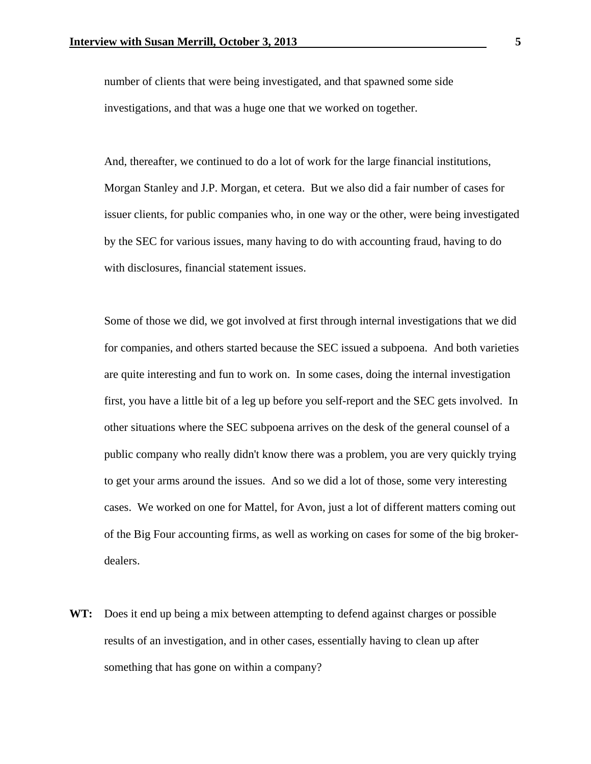number of clients that were being investigated, and that spawned some side investigations, and that was a huge one that we worked on together.

 And, thereafter, we continued to do a lot of work for the large financial institutions, Morgan Stanley and J.P. Morgan, et cetera. But we also did a fair number of cases for issuer clients, for public companies who, in one way or the other, were being investigated by the SEC for various issues, many having to do with accounting fraud, having to do with disclosures, financial statement issues.

 Some of those we did, we got involved at first through internal investigations that we did for companies, and others started because the SEC issued a subpoena. And both varieties are quite interesting and fun to work on. In some cases, doing the internal investigation first, you have a little bit of a leg up before you self-report and the SEC gets involved. In other situations where the SEC subpoena arrives on the desk of the general counsel of a public company who really didn't know there was a problem, you are very quickly trying to get your arms around the issues. And so we did a lot of those, some very interesting cases. We worked on one for Mattel, for Avon, just a lot of different matters coming out of the Big Four accounting firms, as well as working on cases for some of the big brokerdealers.

**WT:** Does it end up being a mix between attempting to defend against charges or possible results of an investigation, and in other cases, essentially having to clean up after something that has gone on within a company?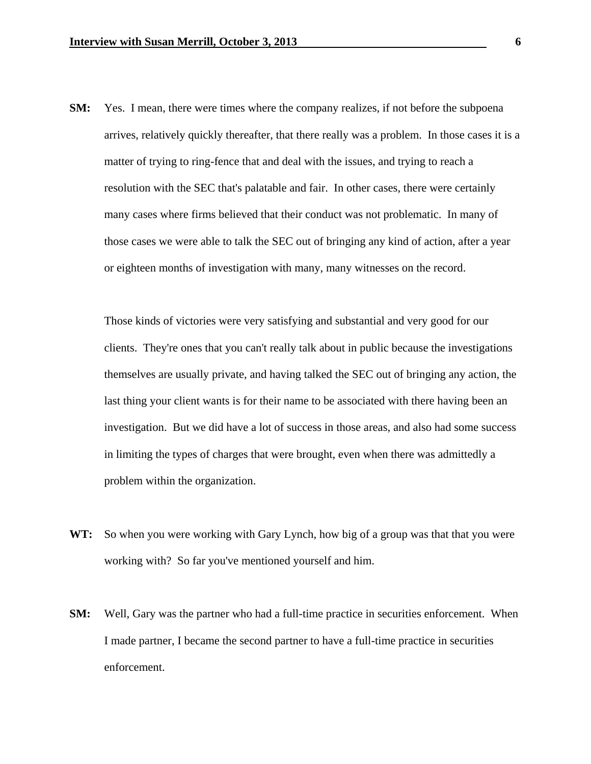**SM:** Yes. I mean, there were times where the company realizes, if not before the subpoena arrives, relatively quickly thereafter, that there really was a problem. In those cases it is a matter of trying to ring-fence that and deal with the issues, and trying to reach a resolution with the SEC that's palatable and fair. In other cases, there were certainly many cases where firms believed that their conduct was not problematic. In many of those cases we were able to talk the SEC out of bringing any kind of action, after a year or eighteen months of investigation with many, many witnesses on the record.

 Those kinds of victories were very satisfying and substantial and very good for our clients. They're ones that you can't really talk about in public because the investigations themselves are usually private, and having talked the SEC out of bringing any action, the last thing your client wants is for their name to be associated with there having been an investigation. But we did have a lot of success in those areas, and also had some success in limiting the types of charges that were brought, even when there was admittedly a problem within the organization.

- **WT:** So when you were working with Gary Lynch, how big of a group was that that you were working with? So far you've mentioned yourself and him.
- **SM:** Well, Gary was the partner who had a full-time practice in securities enforcement. When I made partner, I became the second partner to have a full-time practice in securities enforcement.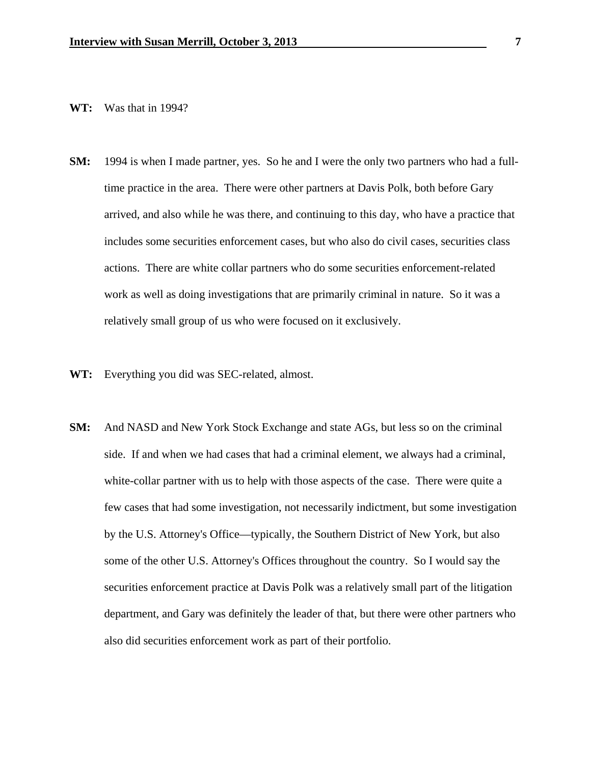## **WT:** Was that in 1994?

- **SM:** 1994 is when I made partner, yes. So he and I were the only two partners who had a fulltime practice in the area. There were other partners at Davis Polk, both before Gary arrived, and also while he was there, and continuing to this day, who have a practice that includes some securities enforcement cases, but who also do civil cases, securities class actions. There are white collar partners who do some securities enforcement-related work as well as doing investigations that are primarily criminal in nature. So it was a relatively small group of us who were focused on it exclusively.
- **WT:** Everything you did was SEC-related, almost.
- **SM:** And NASD and New York Stock Exchange and state AGs, but less so on the criminal side. If and when we had cases that had a criminal element, we always had a criminal, white-collar partner with us to help with those aspects of the case. There were quite a few cases that had some investigation, not necessarily indictment, but some investigation by the U.S. Attorney's Office—typically, the Southern District of New York, but also some of the other U.S. Attorney's Offices throughout the country. So I would say the securities enforcement practice at Davis Polk was a relatively small part of the litigation department, and Gary was definitely the leader of that, but there were other partners who also did securities enforcement work as part of their portfolio.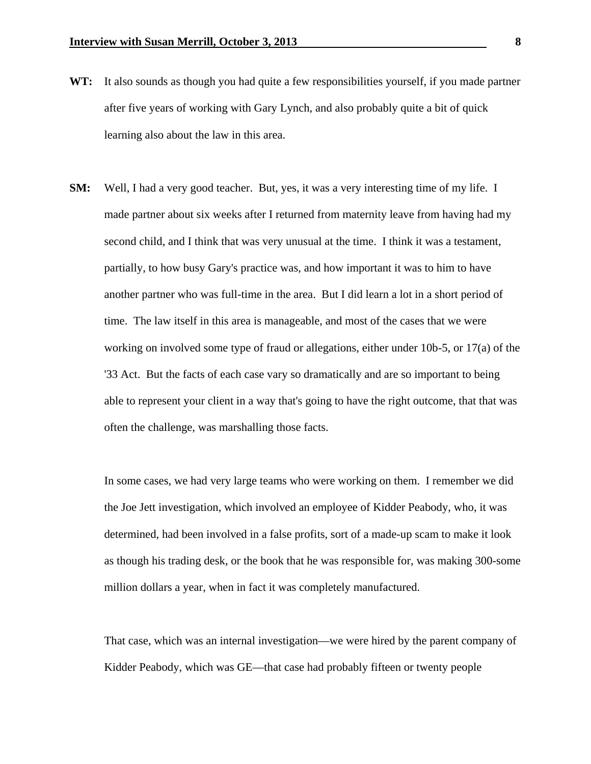- **WT:** It also sounds as though you had quite a few responsibilities yourself, if you made partner after five years of working with Gary Lynch, and also probably quite a bit of quick learning also about the law in this area.
- **SM:** Well, I had a very good teacher. But, yes, it was a very interesting time of my life. I made partner about six weeks after I returned from maternity leave from having had my second child, and I think that was very unusual at the time. I think it was a testament, partially, to how busy Gary's practice was, and how important it was to him to have another partner who was full-time in the area. But I did learn a lot in a short period of time. The law itself in this area is manageable, and most of the cases that we were working on involved some type of fraud or allegations, either under 10b-5, or 17(a) of the '33 Act. But the facts of each case vary so dramatically and are so important to being able to represent your client in a way that's going to have the right outcome, that that was often the challenge, was marshalling those facts.

 In some cases, we had very large teams who were working on them. I remember we did the Joe Jett investigation, which involved an employee of Kidder Peabody, who, it was determined, had been involved in a false profits, sort of a made-up scam to make it look as though his trading desk, or the book that he was responsible for, was making 300-some million dollars a year, when in fact it was completely manufactured.

 That case, which was an internal investigation—we were hired by the parent company of Kidder Peabody, which was GE—that case had probably fifteen or twenty people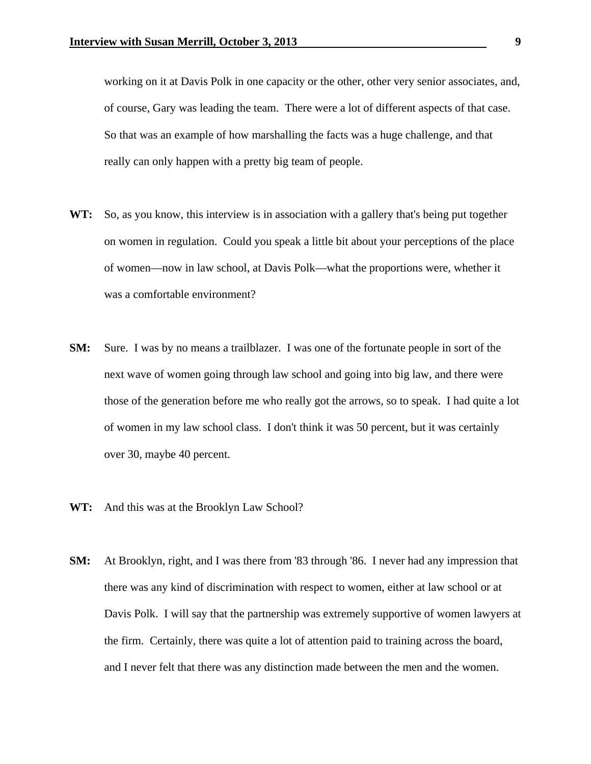working on it at Davis Polk in one capacity or the other, other very senior associates, and, of course, Gary was leading the team. There were a lot of different aspects of that case. So that was an example of how marshalling the facts was a huge challenge, and that really can only happen with a pretty big team of people.

- **WT:** So, as you know, this interview is in association with a gallery that's being put together on women in regulation. Could you speak a little bit about your perceptions of the place of women—now in law school, at Davis Polk—what the proportions were, whether it was a comfortable environment?
- **SM:** Sure. I was by no means a trailblazer. I was one of the fortunate people in sort of the next wave of women going through law school and going into big law, and there were those of the generation before me who really got the arrows, so to speak. I had quite a lot of women in my law school class. I don't think it was 50 percent, but it was certainly over 30, maybe 40 percent.
- **WT:** And this was at the Brooklyn Law School?
- **SM:** At Brooklyn, right, and I was there from '83 through '86. I never had any impression that there was any kind of discrimination with respect to women, either at law school or at Davis Polk. I will say that the partnership was extremely supportive of women lawyers at the firm. Certainly, there was quite a lot of attention paid to training across the board, and I never felt that there was any distinction made between the men and the women.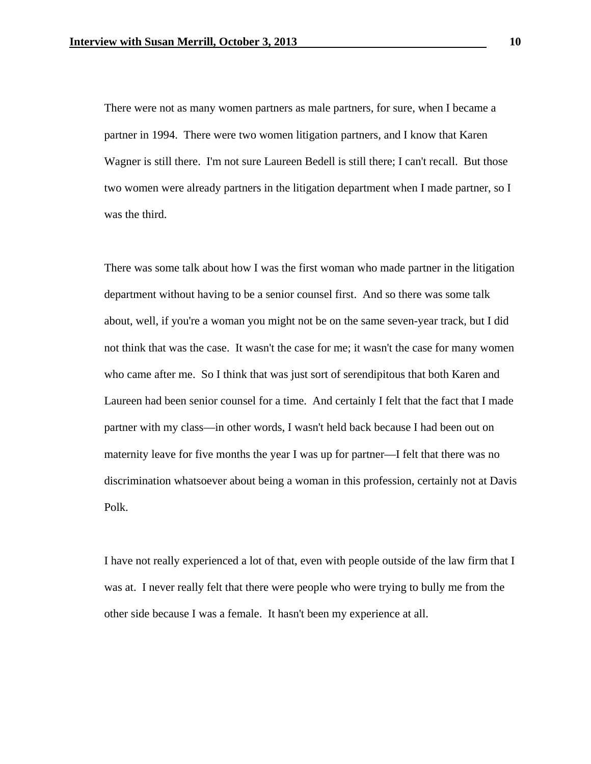There were not as many women partners as male partners, for sure, when I became a partner in 1994. There were two women litigation partners, and I know that Karen Wagner is still there. I'm not sure Laureen Bedell is still there; I can't recall. But those two women were already partners in the litigation department when I made partner, so I was the third.

 There was some talk about how I was the first woman who made partner in the litigation department without having to be a senior counsel first. And so there was some talk about, well, if you're a woman you might not be on the same seven-year track, but I did not think that was the case. It wasn't the case for me; it wasn't the case for many women who came after me. So I think that was just sort of serendipitous that both Karen and Laureen had been senior counsel for a time. And certainly I felt that the fact that I made partner with my class—in other words, I wasn't held back because I had been out on maternity leave for five months the year I was up for partner—I felt that there was no discrimination whatsoever about being a woman in this profession, certainly not at Davis Polk.

 I have not really experienced a lot of that, even with people outside of the law firm that I was at. I never really felt that there were people who were trying to bully me from the other side because I was a female. It hasn't been my experience at all.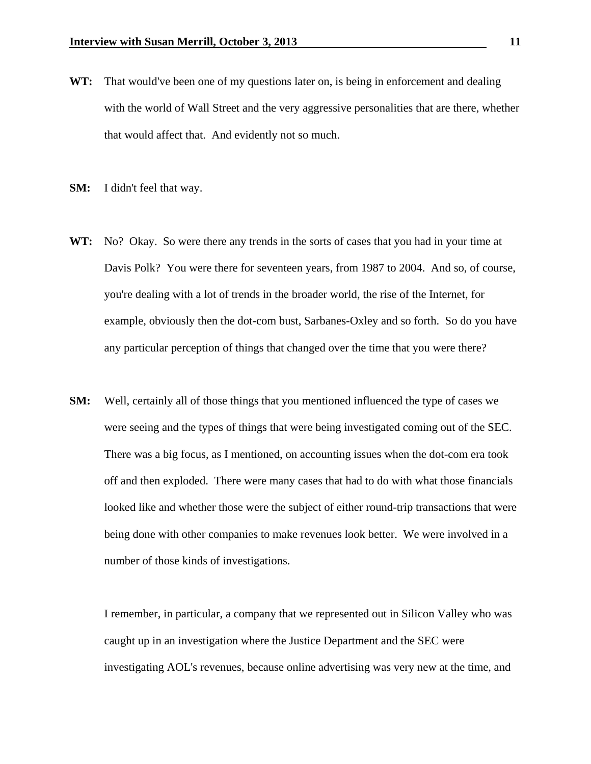- **WT:** That would've been one of my questions later on, is being in enforcement and dealing with the world of Wall Street and the very aggressive personalities that are there, whether that would affect that. And evidently not so much.
- **SM:** I didn't feel that way.
- **WT:** No? Okay. So were there any trends in the sorts of cases that you had in your time at Davis Polk? You were there for seventeen years, from 1987 to 2004. And so, of course, you're dealing with a lot of trends in the broader world, the rise of the Internet, for example, obviously then the dot-com bust, Sarbanes-Oxley and so forth. So do you have any particular perception of things that changed over the time that you were there?
- **SM:** Well, certainly all of those things that you mentioned influenced the type of cases we were seeing and the types of things that were being investigated coming out of the SEC. There was a big focus, as I mentioned, on accounting issues when the dot-com era took off and then exploded. There were many cases that had to do with what those financials looked like and whether those were the subject of either round-trip transactions that were being done with other companies to make revenues look better. We were involved in a number of those kinds of investigations.

 I remember, in particular, a company that we represented out in Silicon Valley who was caught up in an investigation where the Justice Department and the SEC were investigating AOL's revenues, because online advertising was very new at the time, and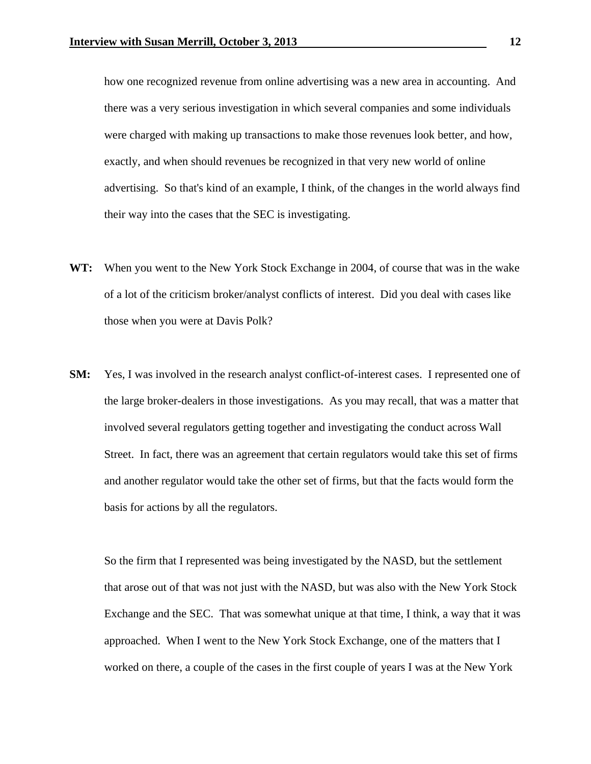how one recognized revenue from online advertising was a new area in accounting. And there was a very serious investigation in which several companies and some individuals were charged with making up transactions to make those revenues look better, and how, exactly, and when should revenues be recognized in that very new world of online advertising. So that's kind of an example, I think, of the changes in the world always find their way into the cases that the SEC is investigating.

- **WT:** When you went to the New York Stock Exchange in 2004, of course that was in the wake of a lot of the criticism broker/analyst conflicts of interest. Did you deal with cases like those when you were at Davis Polk?
- **SM:** Yes, I was involved in the research analyst conflict-of-interest cases. I represented one of the large broker-dealers in those investigations. As you may recall, that was a matter that involved several regulators getting together and investigating the conduct across Wall Street. In fact, there was an agreement that certain regulators would take this set of firms and another regulator would take the other set of firms, but that the facts would form the basis for actions by all the regulators.

 So the firm that I represented was being investigated by the NASD, but the settlement that arose out of that was not just with the NASD, but was also with the New York Stock Exchange and the SEC. That was somewhat unique at that time, I think, a way that it was approached. When I went to the New York Stock Exchange, one of the matters that I worked on there, a couple of the cases in the first couple of years I was at the New York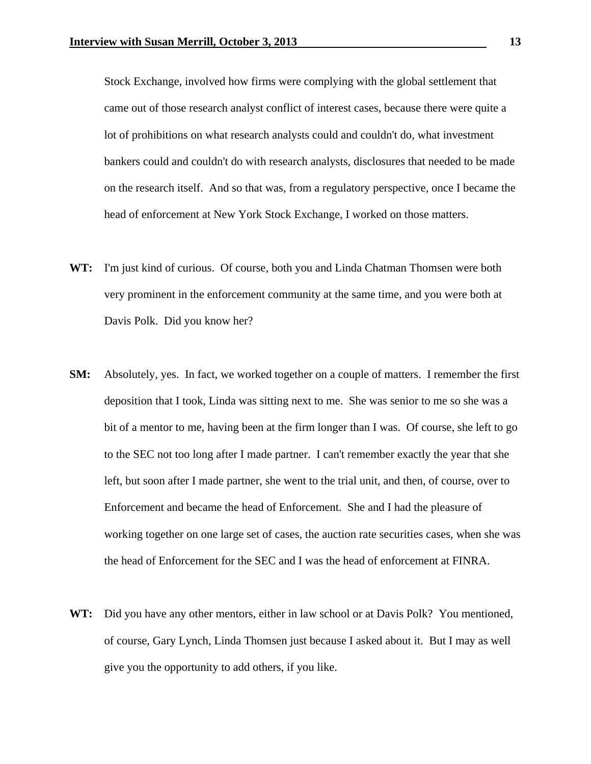Stock Exchange, involved how firms were complying with the global settlement that came out of those research analyst conflict of interest cases, because there were quite a lot of prohibitions on what research analysts could and couldn't do, what investment bankers could and couldn't do with research analysts, disclosures that needed to be made on the research itself. And so that was, from a regulatory perspective, once I became the head of enforcement at New York Stock Exchange, I worked on those matters.

- **WT:** I'm just kind of curious. Of course, both you and Linda Chatman Thomsen were both very prominent in the enforcement community at the same time, and you were both at Davis Polk. Did you know her?
- **SM:** Absolutely, yes. In fact, we worked together on a couple of matters. I remember the first deposition that I took, Linda was sitting next to me. She was senior to me so she was a bit of a mentor to me, having been at the firm longer than I was. Of course, she left to go to the SEC not too long after I made partner. I can't remember exactly the year that she left, but soon after I made partner, she went to the trial unit, and then, of course, over to Enforcement and became the head of Enforcement. She and I had the pleasure of working together on one large set of cases, the auction rate securities cases, when she was the head of Enforcement for the SEC and I was the head of enforcement at FINRA.
- **WT:** Did you have any other mentors, either in law school or at Davis Polk? You mentioned, of course, Gary Lynch, Linda Thomsen just because I asked about it. But I may as well give you the opportunity to add others, if you like.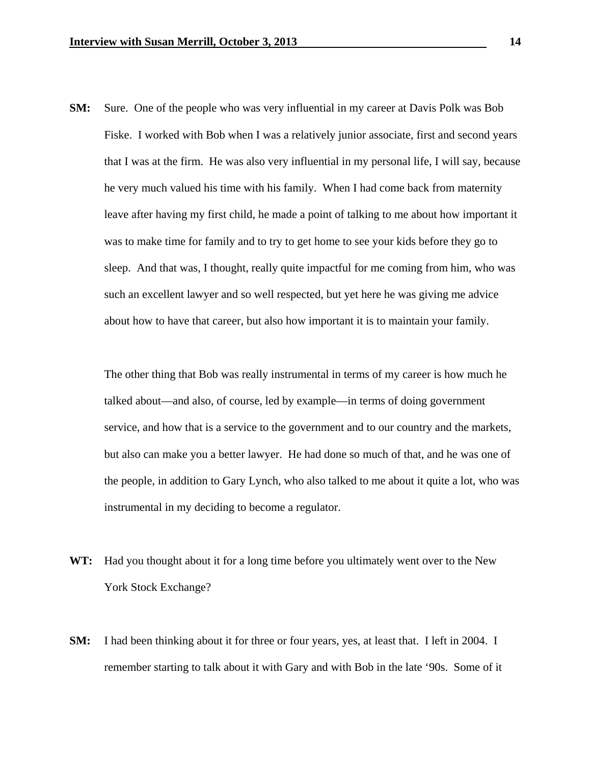**SM:** Sure. One of the people who was very influential in my career at Davis Polk was Bob Fiske. I worked with Bob when I was a relatively junior associate, first and second years that I was at the firm. He was also very influential in my personal life, I will say, because he very much valued his time with his family. When I had come back from maternity leave after having my first child, he made a point of talking to me about how important it was to make time for family and to try to get home to see your kids before they go to sleep. And that was, I thought, really quite impactful for me coming from him, who was such an excellent lawyer and so well respected, but yet here he was giving me advice about how to have that career, but also how important it is to maintain your family.

 The other thing that Bob was really instrumental in terms of my career is how much he talked about—and also, of course, led by example—in terms of doing government service, and how that is a service to the government and to our country and the markets, but also can make you a better lawyer. He had done so much of that, and he was one of the people, in addition to Gary Lynch, who also talked to me about it quite a lot, who was instrumental in my deciding to become a regulator.

- **WT:** Had you thought about it for a long time before you ultimately went over to the New York Stock Exchange?
- **SM:** I had been thinking about it for three or four years, yes, at least that. I left in 2004. I remember starting to talk about it with Gary and with Bob in the late '90s. Some of it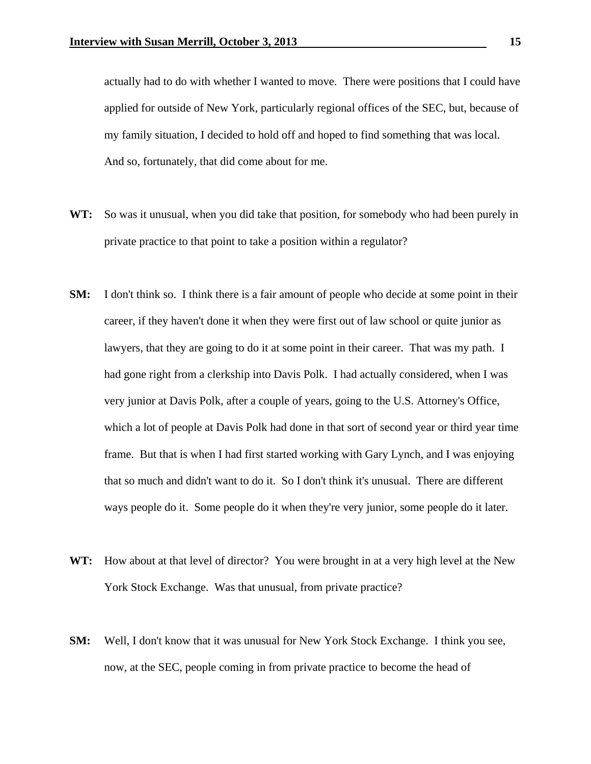actually had to do with whether I wanted to move. There were positions that I could have applied for outside of New York, particularly regional offices of the SEC, but, because of my family situation, I decided to hold off and hoped to find something that was local. And so, fortunately, that did come about for me.

- **WT:** So was it unusual, when you did take that position, for somebody who had been purely in private practice to that point to take a position within a regulator?
- **SM:** I don't think so. I think there is a fair amount of people who decide at some point in their career, if they haven't done it when they were first out of law school or quite junior as lawyers, that they are going to do it at some point in their career. That was my path. I had gone right from a clerkship into Davis Polk. I had actually considered, when I was very junior at Davis Polk, after a couple of years, going to the U.S. Attorney's Office, which a lot of people at Davis Polk had done in that sort of second year or third year time frame. But that is when I had first started working with Gary Lynch, and I was enjoying that so much and didn't want to do it. So I don't think it's unusual. There are different ways people do it. Some people do it when they're very junior, some people do it later.
- **WT:** How about at that level of director? You were brought in at a very high level at the New York Stock Exchange. Was that unusual, from private practice?
- **SM:** Well, I don't know that it was unusual for New York Stock Exchange. I think you see, now, at the SEC, people coming in from private practice to become the head of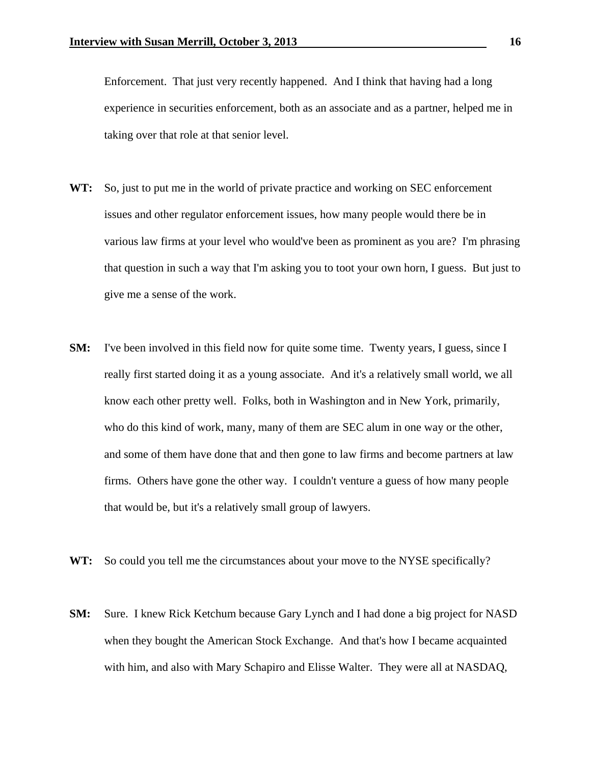Enforcement. That just very recently happened. And I think that having had a long experience in securities enforcement, both as an associate and as a partner, helped me in taking over that role at that senior level.

- **WT:** So, just to put me in the world of private practice and working on SEC enforcement issues and other regulator enforcement issues, how many people would there be in various law firms at your level who would've been as prominent as you are? I'm phrasing that question in such a way that I'm asking you to toot your own horn, I guess. But just to give me a sense of the work.
- **SM:** I've been involved in this field now for quite some time. Twenty years, I guess, since I really first started doing it as a young associate. And it's a relatively small world, we all know each other pretty well. Folks, both in Washington and in New York, primarily, who do this kind of work, many, many of them are SEC alum in one way or the other, and some of them have done that and then gone to law firms and become partners at law firms. Others have gone the other way. I couldn't venture a guess of how many people that would be, but it's a relatively small group of lawyers.
- **WT:** So could you tell me the circumstances about your move to the NYSE specifically?
- **SM:** Sure. I knew Rick Ketchum because Gary Lynch and I had done a big project for NASD when they bought the American Stock Exchange. And that's how I became acquainted with him, and also with Mary Schapiro and Elisse Walter. They were all at NASDAQ,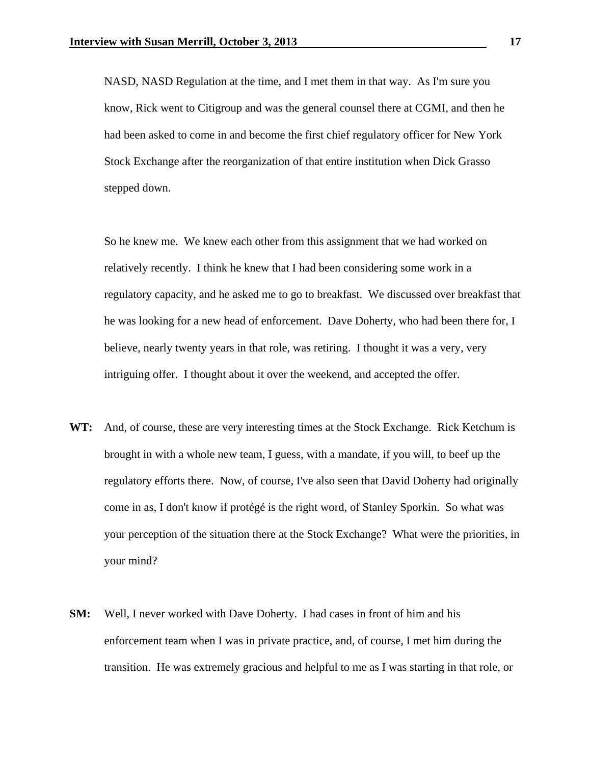NASD, NASD Regulation at the time, and I met them in that way. As I'm sure you know, Rick went to Citigroup and was the general counsel there at CGMI, and then he had been asked to come in and become the first chief regulatory officer for New York Stock Exchange after the reorganization of that entire institution when Dick Grasso stepped down.

 So he knew me. We knew each other from this assignment that we had worked on relatively recently. I think he knew that I had been considering some work in a regulatory capacity, and he asked me to go to breakfast. We discussed over breakfast that he was looking for a new head of enforcement. Dave Doherty, who had been there for, I believe, nearly twenty years in that role, was retiring. I thought it was a very, very intriguing offer. I thought about it over the weekend, and accepted the offer.

- **WT:** And, of course, these are very interesting times at the Stock Exchange. Rick Ketchum is brought in with a whole new team, I guess, with a mandate, if you will, to beef up the regulatory efforts there. Now, of course, I've also seen that David Doherty had originally come in as, I don't know if protégé is the right word, of Stanley Sporkin. So what was your perception of the situation there at the Stock Exchange? What were the priorities, in your mind?
- **SM:** Well, I never worked with Dave Doherty. I had cases in front of him and his enforcement team when I was in private practice, and, of course, I met him during the transition. He was extremely gracious and helpful to me as I was starting in that role, or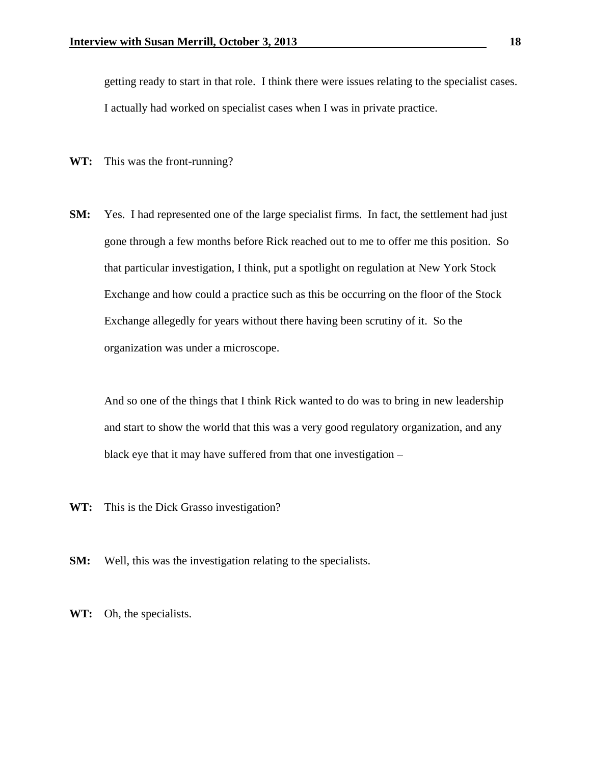getting ready to start in that role. I think there were issues relating to the specialist cases. I actually had worked on specialist cases when I was in private practice.

- **WT:** This was the front-running?
- **SM:** Yes. I had represented one of the large specialist firms. In fact, the settlement had just gone through a few months before Rick reached out to me to offer me this position. So that particular investigation, I think, put a spotlight on regulation at New York Stock Exchange and how could a practice such as this be occurring on the floor of the Stock Exchange allegedly for years without there having been scrutiny of it. So the organization was under a microscope.

 And so one of the things that I think Rick wanted to do was to bring in new leadership and start to show the world that this was a very good regulatory organization, and any black eye that it may have suffered from that one investigation –

- **WT:** This is the Dick Grasso investigation?
- **SM:** Well, this was the investigation relating to the specialists.

**WT:** Oh, the specialists.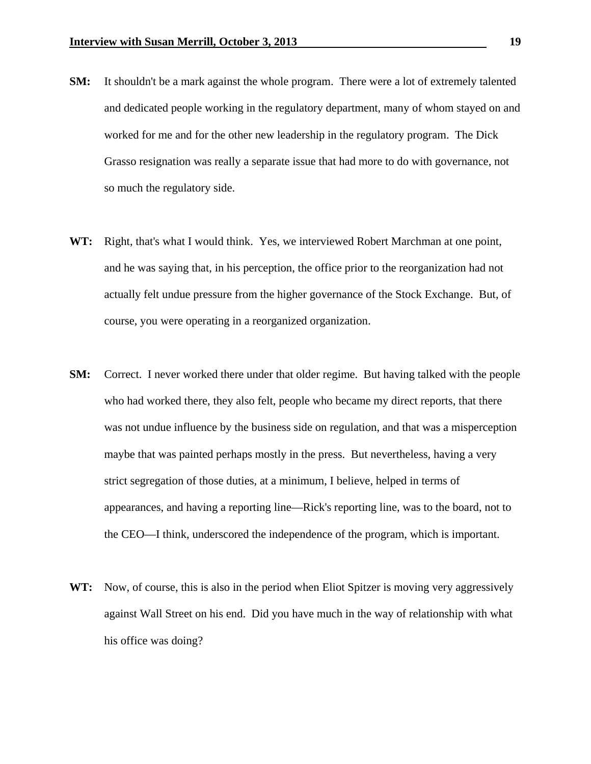- **SM:** It shouldn't be a mark against the whole program. There were a lot of extremely talented and dedicated people working in the regulatory department, many of whom stayed on and worked for me and for the other new leadership in the regulatory program. The Dick Grasso resignation was really a separate issue that had more to do with governance, not so much the regulatory side.
- **WT:** Right, that's what I would think. Yes, we interviewed Robert Marchman at one point, and he was saying that, in his perception, the office prior to the reorganization had not actually felt undue pressure from the higher governance of the Stock Exchange. But, of course, you were operating in a reorganized organization.
- **SM:** Correct. I never worked there under that older regime. But having talked with the people who had worked there, they also felt, people who became my direct reports, that there was not undue influence by the business side on regulation, and that was a misperception maybe that was painted perhaps mostly in the press. But nevertheless, having a very strict segregation of those duties, at a minimum, I believe, helped in terms of appearances, and having a reporting line—Rick's reporting line, was to the board, not to the CEO—I think, underscored the independence of the program, which is important.
- **WT:** Now, of course, this is also in the period when Eliot Spitzer is moving very aggressively against Wall Street on his end. Did you have much in the way of relationship with what his office was doing?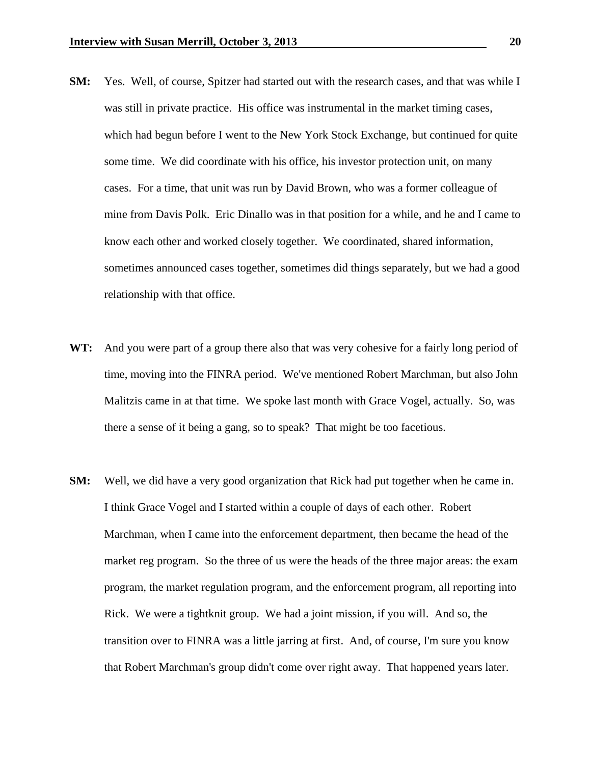- **SM:** Yes. Well, of course, Spitzer had started out with the research cases, and that was while I was still in private practice. His office was instrumental in the market timing cases, which had begun before I went to the New York Stock Exchange, but continued for quite some time. We did coordinate with his office, his investor protection unit, on many cases. For a time, that unit was run by David Brown, who was a former colleague of mine from Davis Polk. Eric Dinallo was in that position for a while, and he and I came to know each other and worked closely together. We coordinated, shared information, sometimes announced cases together, sometimes did things separately, but we had a good relationship with that office.
- **WT:** And you were part of a group there also that was very cohesive for a fairly long period of time, moving into the FINRA period. We've mentioned Robert Marchman, but also John Malitzis came in at that time. We spoke last month with Grace Vogel, actually. So, was there a sense of it being a gang, so to speak? That might be too facetious.
- **SM:** Well, we did have a very good organization that Rick had put together when he came in. I think Grace Vogel and I started within a couple of days of each other. Robert Marchman, when I came into the enforcement department, then became the head of the market reg program. So the three of us were the heads of the three major areas: the exam program, the market regulation program, and the enforcement program, all reporting into Rick. We were a tightknit group. We had a joint mission, if you will. And so, the transition over to FINRA was a little jarring at first. And, of course, I'm sure you know that Robert Marchman's group didn't come over right away. That happened years later.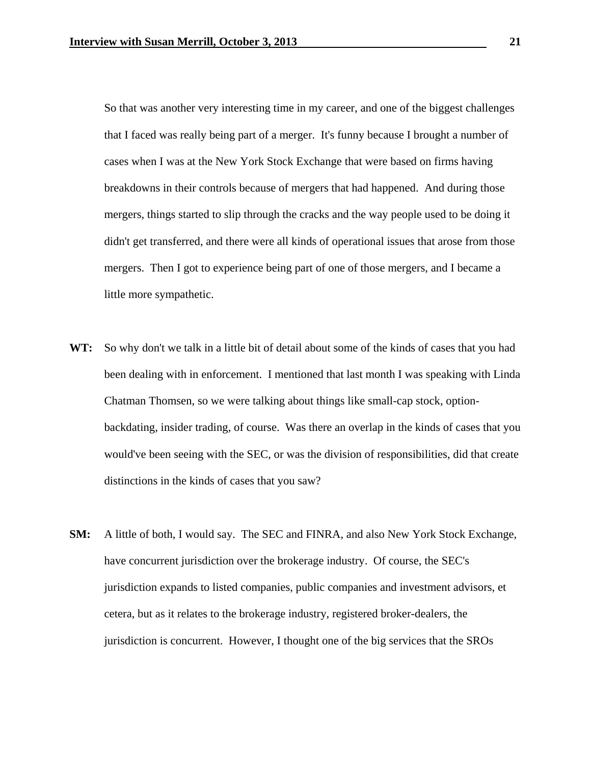So that was another very interesting time in my career, and one of the biggest challenges that I faced was really being part of a merger. It's funny because I brought a number of cases when I was at the New York Stock Exchange that were based on firms having breakdowns in their controls because of mergers that had happened. And during those mergers, things started to slip through the cracks and the way people used to be doing it didn't get transferred, and there were all kinds of operational issues that arose from those mergers. Then I got to experience being part of one of those mergers, and I became a little more sympathetic.

- **WT:** So why don't we talk in a little bit of detail about some of the kinds of cases that you had been dealing with in enforcement. I mentioned that last month I was speaking with Linda Chatman Thomsen, so we were talking about things like small-cap stock, optionbackdating, insider trading, of course. Was there an overlap in the kinds of cases that you would've been seeing with the SEC, or was the division of responsibilities, did that create distinctions in the kinds of cases that you saw?
- **SM:** A little of both, I would say. The SEC and FINRA, and also New York Stock Exchange, have concurrent jurisdiction over the brokerage industry. Of course, the SEC's jurisdiction expands to listed companies, public companies and investment advisors, et cetera, but as it relates to the brokerage industry, registered broker-dealers, the jurisdiction is concurrent. However, I thought one of the big services that the SROs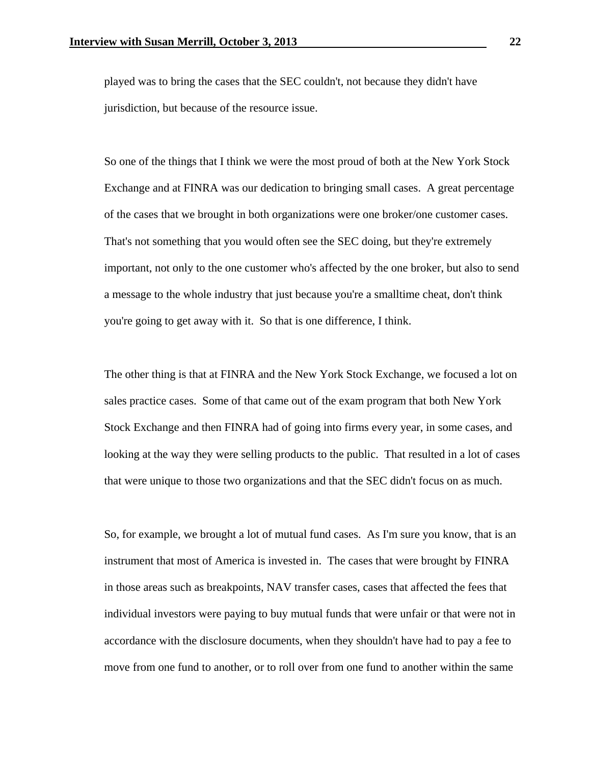played was to bring the cases that the SEC couldn't, not because they didn't have jurisdiction, but because of the resource issue.

 So one of the things that I think we were the most proud of both at the New York Stock Exchange and at FINRA was our dedication to bringing small cases. A great percentage of the cases that we brought in both organizations were one broker/one customer cases. That's not something that you would often see the SEC doing, but they're extremely important, not only to the one customer who's affected by the one broker, but also to send a message to the whole industry that just because you're a smalltime cheat, don't think you're going to get away with it. So that is one difference, I think.

 The other thing is that at FINRA and the New York Stock Exchange, we focused a lot on sales practice cases. Some of that came out of the exam program that both New York Stock Exchange and then FINRA had of going into firms every year, in some cases, and looking at the way they were selling products to the public. That resulted in a lot of cases that were unique to those two organizations and that the SEC didn't focus on as much.

 So, for example, we brought a lot of mutual fund cases. As I'm sure you know, that is an instrument that most of America is invested in. The cases that were brought by FINRA in those areas such as breakpoints, NAV transfer cases, cases that affected the fees that individual investors were paying to buy mutual funds that were unfair or that were not in accordance with the disclosure documents, when they shouldn't have had to pay a fee to move from one fund to another, or to roll over from one fund to another within the same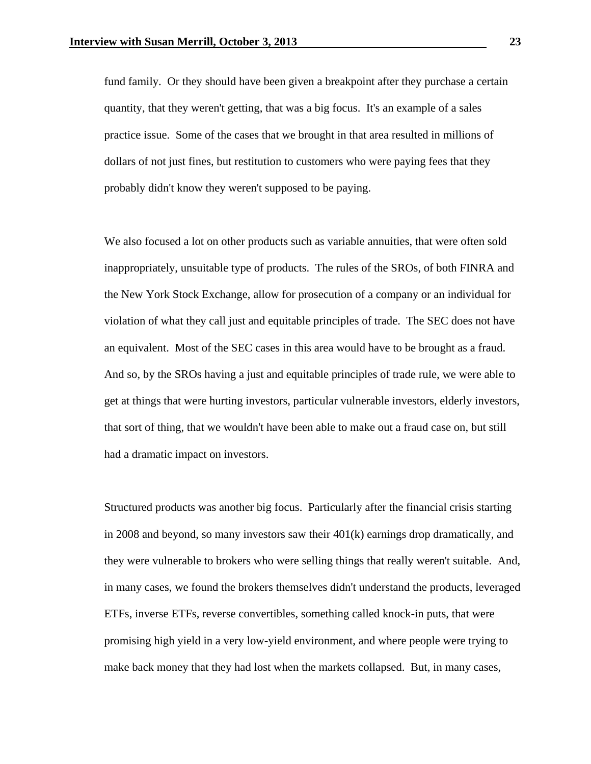fund family. Or they should have been given a breakpoint after they purchase a certain quantity, that they weren't getting, that was a big focus. It's an example of a sales practice issue. Some of the cases that we brought in that area resulted in millions of dollars of not just fines, but restitution to customers who were paying fees that they probably didn't know they weren't supposed to be paying.

 We also focused a lot on other products such as variable annuities, that were often sold inappropriately, unsuitable type of products. The rules of the SROs, of both FINRA and the New York Stock Exchange, allow for prosecution of a company or an individual for violation of what they call just and equitable principles of trade. The SEC does not have an equivalent. Most of the SEC cases in this area would have to be brought as a fraud. And so, by the SROs having a just and equitable principles of trade rule, we were able to get at things that were hurting investors, particular vulnerable investors, elderly investors, that sort of thing, that we wouldn't have been able to make out a fraud case on, but still had a dramatic impact on investors.

 Structured products was another big focus. Particularly after the financial crisis starting in 2008 and beyond, so many investors saw their 401(k) earnings drop dramatically, and they were vulnerable to brokers who were selling things that really weren't suitable. And, in many cases, we found the brokers themselves didn't understand the products, leveraged ETFs, inverse ETFs, reverse convertibles, something called knock-in puts, that were promising high yield in a very low-yield environment, and where people were trying to make back money that they had lost when the markets collapsed. But, in many cases,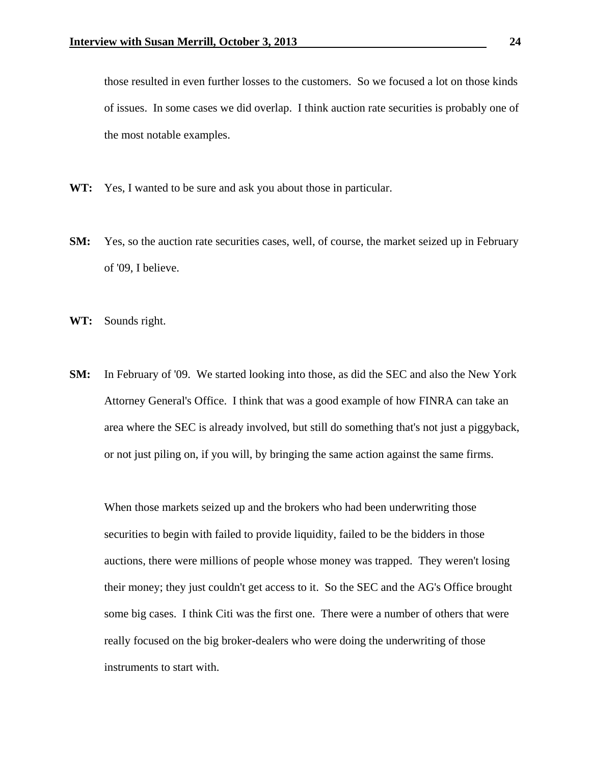those resulted in even further losses to the customers. So we focused a lot on those kinds of issues. In some cases we did overlap. I think auction rate securities is probably one of the most notable examples.

- **WT:** Yes, I wanted to be sure and ask you about those in particular.
- **SM:** Yes, so the auction rate securities cases, well, of course, the market seized up in February of '09, I believe.
- **WT:** Sounds right.
- **SM:** In February of '09. We started looking into those, as did the SEC and also the New York Attorney General's Office. I think that was a good example of how FINRA can take an area where the SEC is already involved, but still do something that's not just a piggyback, or not just piling on, if you will, by bringing the same action against the same firms.

 When those markets seized up and the brokers who had been underwriting those securities to begin with failed to provide liquidity, failed to be the bidders in those auctions, there were millions of people whose money was trapped. They weren't losing their money; they just couldn't get access to it. So the SEC and the AG's Office brought some big cases. I think Citi was the first one. There were a number of others that were really focused on the big broker-dealers who were doing the underwriting of those instruments to start with.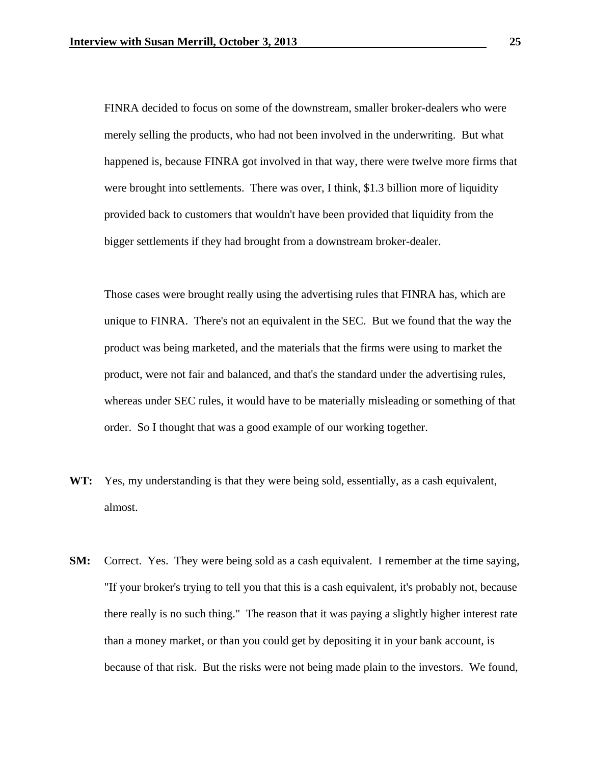FINRA decided to focus on some of the downstream, smaller broker-dealers who were merely selling the products, who had not been involved in the underwriting. But what happened is, because FINRA got involved in that way, there were twelve more firms that were brought into settlements. There was over, I think, \$1.3 billion more of liquidity provided back to customers that wouldn't have been provided that liquidity from the bigger settlements if they had brought from a downstream broker-dealer.

 Those cases were brought really using the advertising rules that FINRA has, which are unique to FINRA. There's not an equivalent in the SEC. But we found that the way the product was being marketed, and the materials that the firms were using to market the product, were not fair and balanced, and that's the standard under the advertising rules, whereas under SEC rules, it would have to be materially misleading or something of that order. So I thought that was a good example of our working together.

- **WT:** Yes, my understanding is that they were being sold, essentially, as a cash equivalent, almost.
- **SM:** Correct. Yes. They were being sold as a cash equivalent. I remember at the time saying, "If your broker's trying to tell you that this is a cash equivalent, it's probably not, because there really is no such thing." The reason that it was paying a slightly higher interest rate than a money market, or than you could get by depositing it in your bank account, is because of that risk. But the risks were not being made plain to the investors. We found,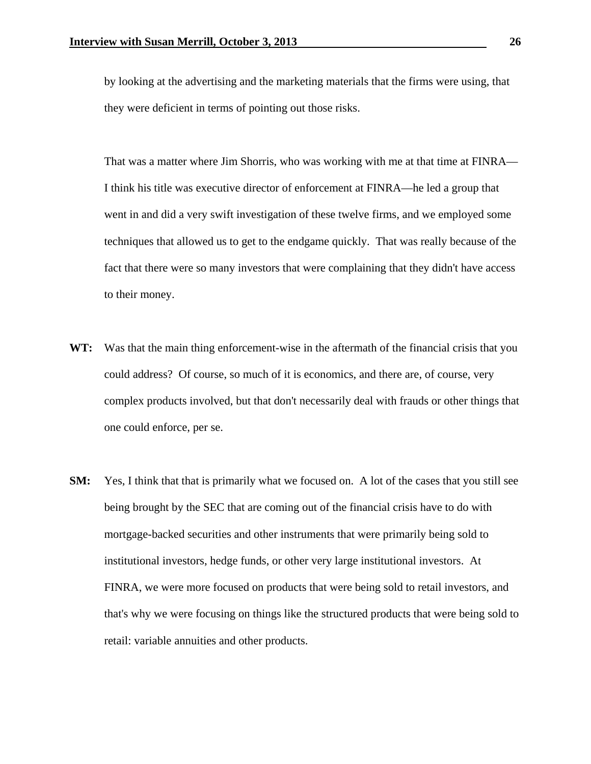by looking at the advertising and the marketing materials that the firms were using, that they were deficient in terms of pointing out those risks.

 That was a matter where Jim Shorris, who was working with me at that time at FINRA— I think his title was executive director of enforcement at FINRA—he led a group that went in and did a very swift investigation of these twelve firms, and we employed some techniques that allowed us to get to the endgame quickly. That was really because of the fact that there were so many investors that were complaining that they didn't have access to their money.

- **WT:** Was that the main thing enforcement-wise in the aftermath of the financial crisis that you could address? Of course, so much of it is economics, and there are, of course, very complex products involved, but that don't necessarily deal with frauds or other things that one could enforce, per se.
- **SM:** Yes, I think that that is primarily what we focused on. A lot of the cases that you still see being brought by the SEC that are coming out of the financial crisis have to do with mortgage-backed securities and other instruments that were primarily being sold to institutional investors, hedge funds, or other very large institutional investors. At FINRA, we were more focused on products that were being sold to retail investors, and that's why we were focusing on things like the structured products that were being sold to retail: variable annuities and other products.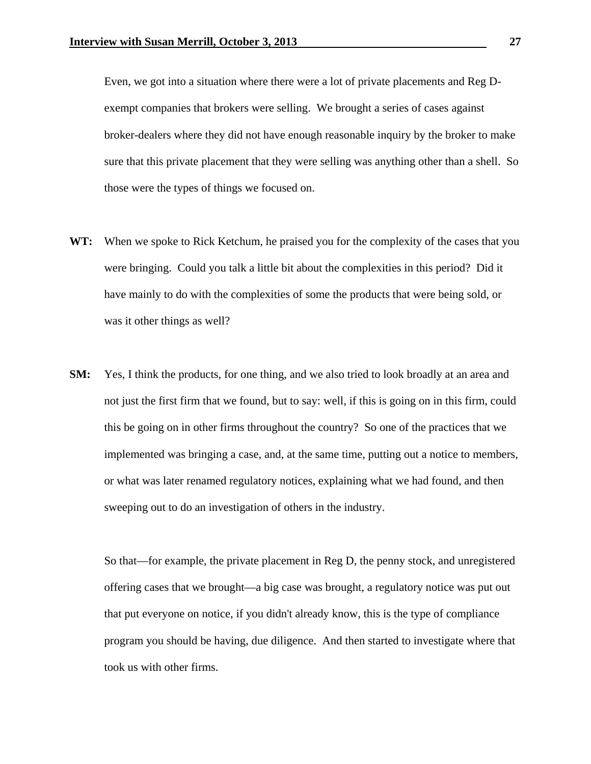Even, we got into a situation where there were a lot of private placements and Reg Dexempt companies that brokers were selling. We brought a series of cases against broker-dealers where they did not have enough reasonable inquiry by the broker to make sure that this private placement that they were selling was anything other than a shell. So those were the types of things we focused on.

- **WT:** When we spoke to Rick Ketchum, he praised you for the complexity of the cases that you were bringing. Could you talk a little bit about the complexities in this period? Did it have mainly to do with the complexities of some the products that were being sold, or was it other things as well?
- **SM:** Yes, I think the products, for one thing, and we also tried to look broadly at an area and not just the first firm that we found, but to say: well, if this is going on in this firm, could this be going on in other firms throughout the country? So one of the practices that we implemented was bringing a case, and, at the same time, putting out a notice to members, or what was later renamed regulatory notices, explaining what we had found, and then sweeping out to do an investigation of others in the industry.

 So that—for example, the private placement in Reg D, the penny stock, and unregistered offering cases that we brought—a big case was brought, a regulatory notice was put out that put everyone on notice, if you didn't already know, this is the type of compliance program you should be having, due diligence. And then started to investigate where that took us with other firms.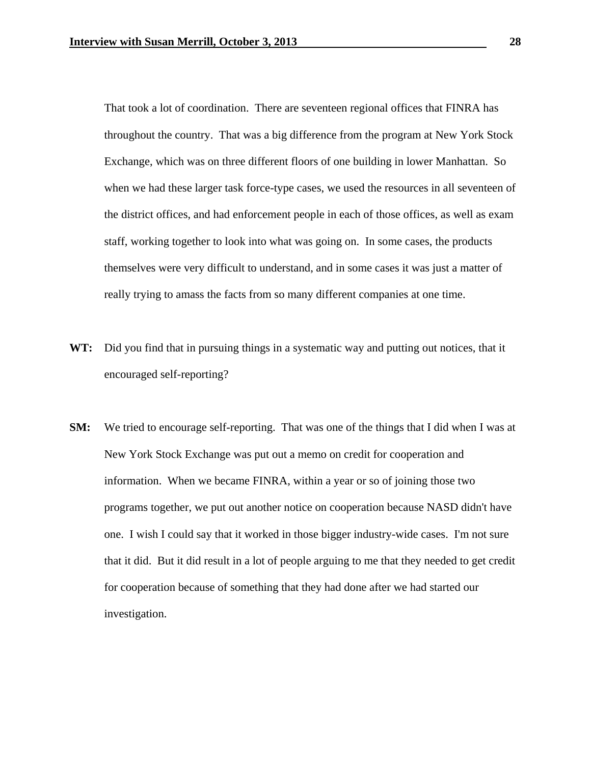That took a lot of coordination. There are seventeen regional offices that FINRA has throughout the country. That was a big difference from the program at New York Stock Exchange, which was on three different floors of one building in lower Manhattan. So when we had these larger task force-type cases, we used the resources in all seventeen of the district offices, and had enforcement people in each of those offices, as well as exam staff, working together to look into what was going on. In some cases, the products themselves were very difficult to understand, and in some cases it was just a matter of really trying to amass the facts from so many different companies at one time.

- **WT:** Did you find that in pursuing things in a systematic way and putting out notices, that it encouraged self-reporting?
- **SM:** We tried to encourage self-reporting. That was one of the things that I did when I was at New York Stock Exchange was put out a memo on credit for cooperation and information. When we became FINRA, within a year or so of joining those two programs together, we put out another notice on cooperation because NASD didn't have one. I wish I could say that it worked in those bigger industry-wide cases. I'm not sure that it did. But it did result in a lot of people arguing to me that they needed to get credit for cooperation because of something that they had done after we had started our investigation.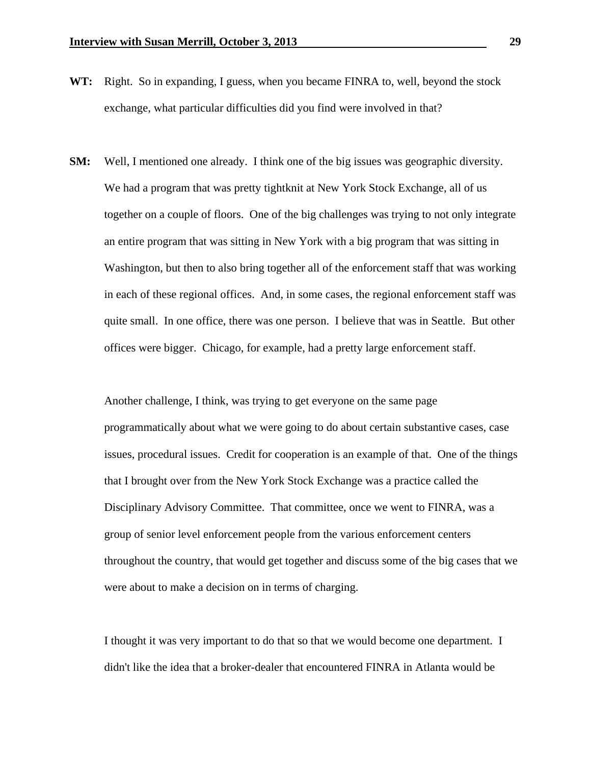- **WT:** Right. So in expanding, I guess, when you became FINRA to, well, beyond the stock exchange, what particular difficulties did you find were involved in that?
- **SM:** Well, I mentioned one already. I think one of the big issues was geographic diversity. We had a program that was pretty tightknit at New York Stock Exchange, all of us together on a couple of floors. One of the big challenges was trying to not only integrate an entire program that was sitting in New York with a big program that was sitting in Washington, but then to also bring together all of the enforcement staff that was working in each of these regional offices. And, in some cases, the regional enforcement staff was quite small. In one office, there was one person. I believe that was in Seattle. But other offices were bigger. Chicago, for example, had a pretty large enforcement staff.

 Another challenge, I think, was trying to get everyone on the same page programmatically about what we were going to do about certain substantive cases, case issues, procedural issues. Credit for cooperation is an example of that. One of the things that I brought over from the New York Stock Exchange was a practice called the Disciplinary Advisory Committee. That committee, once we went to FINRA, was a group of senior level enforcement people from the various enforcement centers throughout the country, that would get together and discuss some of the big cases that we were about to make a decision on in terms of charging.

 I thought it was very important to do that so that we would become one department. I didn't like the idea that a broker-dealer that encountered FINRA in Atlanta would be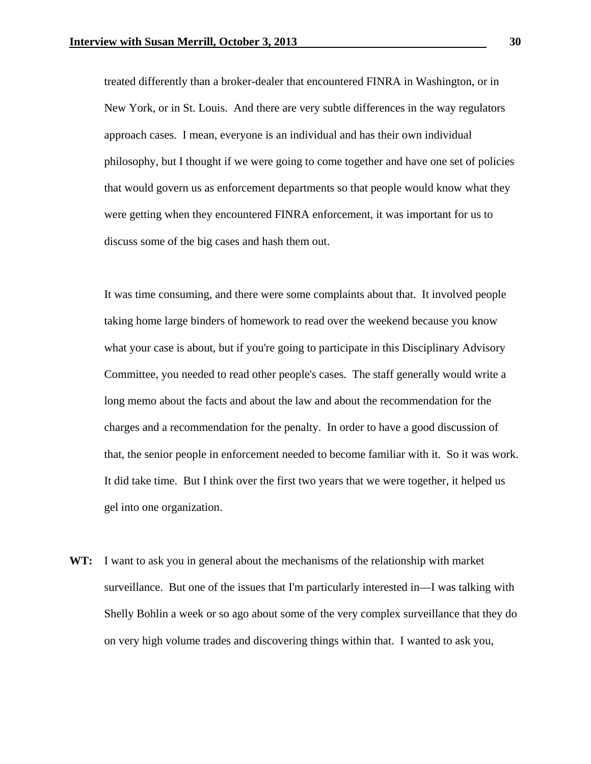treated differently than a broker-dealer that encountered FINRA in Washington, or in New York, or in St. Louis. And there are very subtle differences in the way regulators approach cases. I mean, everyone is an individual and has their own individual philosophy, but I thought if we were going to come together and have one set of policies that would govern us as enforcement departments so that people would know what they were getting when they encountered FINRA enforcement, it was important for us to discuss some of the big cases and hash them out.

 It was time consuming, and there were some complaints about that. It involved people taking home large binders of homework to read over the weekend because you know what your case is about, but if you're going to participate in this Disciplinary Advisory Committee, you needed to read other people's cases. The staff generally would write a long memo about the facts and about the law and about the recommendation for the charges and a recommendation for the penalty. In order to have a good discussion of that, the senior people in enforcement needed to become familiar with it. So it was work. It did take time. But I think over the first two years that we were together, it helped us gel into one organization.

**WT:** I want to ask you in general about the mechanisms of the relationship with market surveillance. But one of the issues that I'm particularly interested in—I was talking with Shelly Bohlin a week or so ago about some of the very complex surveillance that they do on very high volume trades and discovering things within that. I wanted to ask you,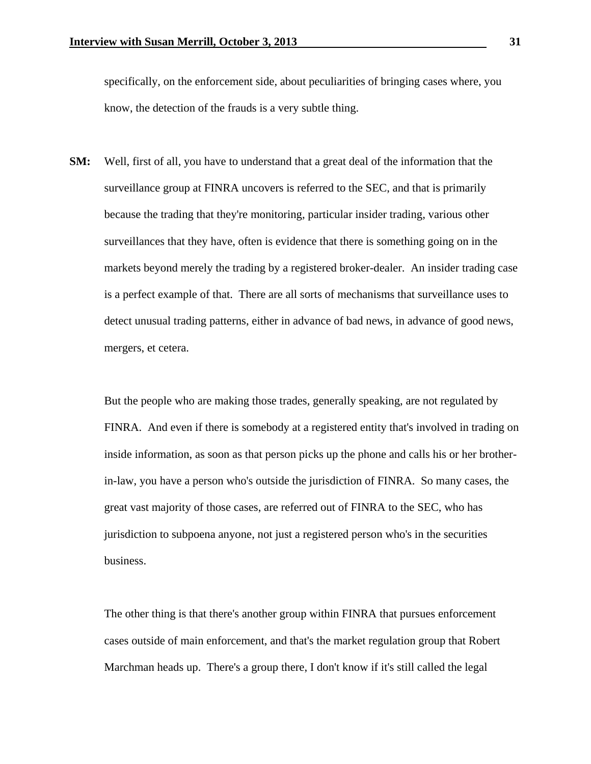specifically, on the enforcement side, about peculiarities of bringing cases where, you know, the detection of the frauds is a very subtle thing.

**SM:** Well, first of all, you have to understand that a great deal of the information that the surveillance group at FINRA uncovers is referred to the SEC, and that is primarily because the trading that they're monitoring, particular insider trading, various other surveillances that they have, often is evidence that there is something going on in the markets beyond merely the trading by a registered broker-dealer. An insider trading case is a perfect example of that. There are all sorts of mechanisms that surveillance uses to detect unusual trading patterns, either in advance of bad news, in advance of good news, mergers, et cetera.

 But the people who are making those trades, generally speaking, are not regulated by FINRA. And even if there is somebody at a registered entity that's involved in trading on inside information, as soon as that person picks up the phone and calls his or her brotherin-law, you have a person who's outside the jurisdiction of FINRA. So many cases, the great vast majority of those cases, are referred out of FINRA to the SEC, who has jurisdiction to subpoena anyone, not just a registered person who's in the securities business.

 The other thing is that there's another group within FINRA that pursues enforcement cases outside of main enforcement, and that's the market regulation group that Robert Marchman heads up. There's a group there, I don't know if it's still called the legal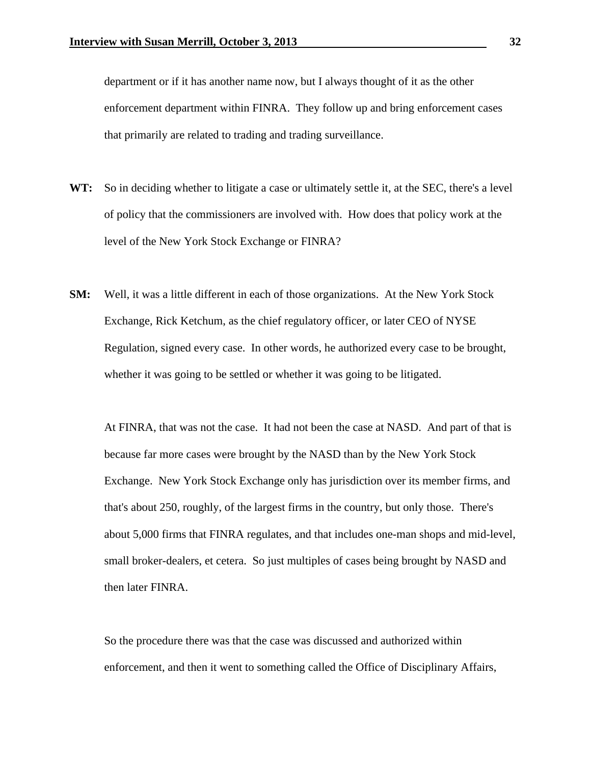department or if it has another name now, but I always thought of it as the other enforcement department within FINRA. They follow up and bring enforcement cases that primarily are related to trading and trading surveillance.

- **WT:** So in deciding whether to litigate a case or ultimately settle it, at the SEC, there's a level of policy that the commissioners are involved with. How does that policy work at the level of the New York Stock Exchange or FINRA?
- **SM:** Well, it was a little different in each of those organizations. At the New York Stock Exchange, Rick Ketchum, as the chief regulatory officer, or later CEO of NYSE Regulation, signed every case. In other words, he authorized every case to be brought, whether it was going to be settled or whether it was going to be litigated.

 At FINRA, that was not the case. It had not been the case at NASD. And part of that is because far more cases were brought by the NASD than by the New York Stock Exchange. New York Stock Exchange only has jurisdiction over its member firms, and that's about 250, roughly, of the largest firms in the country, but only those. There's about 5,000 firms that FINRA regulates, and that includes one-man shops and mid-level, small broker-dealers, et cetera. So just multiples of cases being brought by NASD and then later FINRA.

 So the procedure there was that the case was discussed and authorized within enforcement, and then it went to something called the Office of Disciplinary Affairs,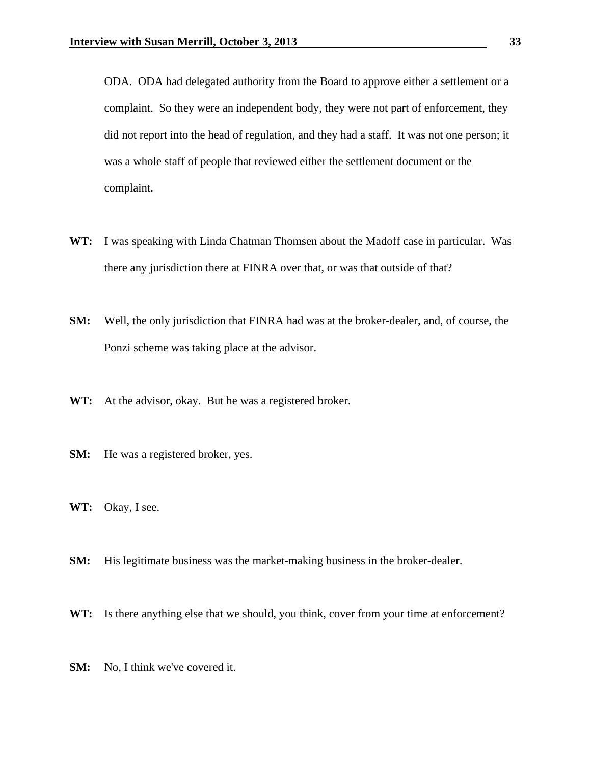ODA. ODA had delegated authority from the Board to approve either a settlement or a complaint. So they were an independent body, they were not part of enforcement, they did not report into the head of regulation, and they had a staff. It was not one person; it was a whole staff of people that reviewed either the settlement document or the complaint.

- **WT:** I was speaking with Linda Chatman Thomsen about the Madoff case in particular. Was there any jurisdiction there at FINRA over that, or was that outside of that?
- **SM:** Well, the only jurisdiction that FINRA had was at the broker-dealer, and, of course, the Ponzi scheme was taking place at the advisor.
- **WT:** At the advisor, okay. But he was a registered broker.
- **SM:** He was a registered broker, yes.
- **WT:** Okay, I see.
- **SM:** His legitimate business was the market-making business in the broker-dealer.
- **WT:** Is there anything else that we should, you think, cover from your time at enforcement?
- **SM:** No, I think we've covered it.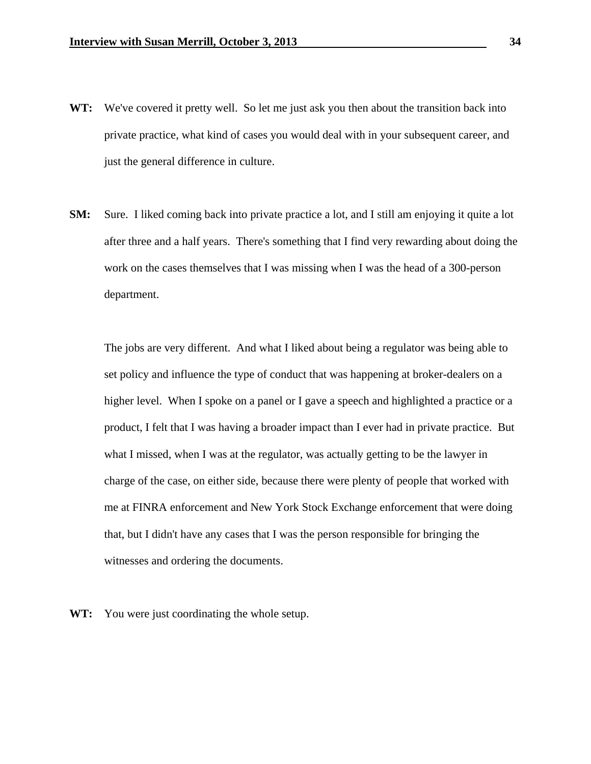- WT: We've covered it pretty well. So let me just ask you then about the transition back into private practice, what kind of cases you would deal with in your subsequent career, and just the general difference in culture.
- **SM:** Sure. I liked coming back into private practice a lot, and I still am enjoying it quite a lot after three and a half years. There's something that I find very rewarding about doing the work on the cases themselves that I was missing when I was the head of a 300-person department.

 The jobs are very different. And what I liked about being a regulator was being able to set policy and influence the type of conduct that was happening at broker-dealers on a higher level. When I spoke on a panel or I gave a speech and highlighted a practice or a product, I felt that I was having a broader impact than I ever had in private practice. But what I missed, when I was at the regulator, was actually getting to be the lawyer in charge of the case, on either side, because there were plenty of people that worked with me at FINRA enforcement and New York Stock Exchange enforcement that were doing that, but I didn't have any cases that I was the person responsible for bringing the witnesses and ordering the documents.

**WT:** You were just coordinating the whole setup.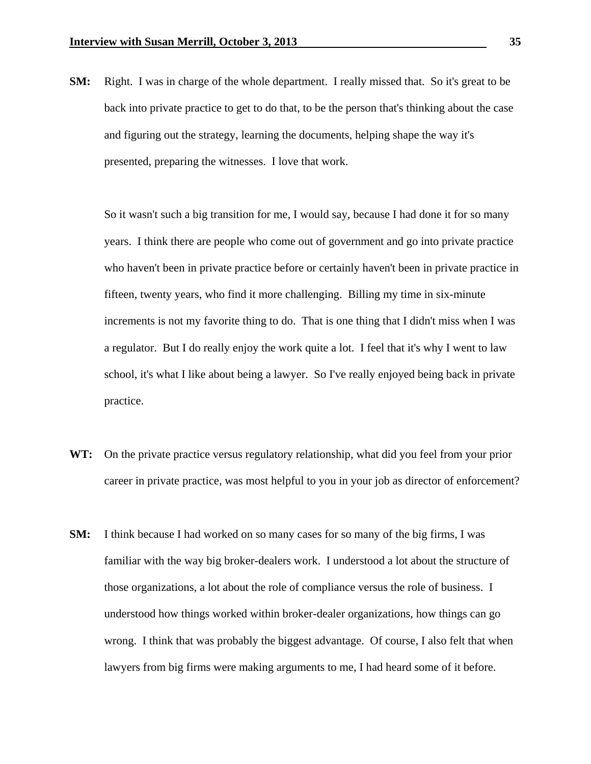**SM:** Right. I was in charge of the whole department. I really missed that. So it's great to be back into private practice to get to do that, to be the person that's thinking about the case and figuring out the strategy, learning the documents, helping shape the way it's presented, preparing the witnesses. I love that work.

 So it wasn't such a big transition for me, I would say, because I had done it for so many years. I think there are people who come out of government and go into private practice who haven't been in private practice before or certainly haven't been in private practice in fifteen, twenty years, who find it more challenging. Billing my time in six-minute increments is not my favorite thing to do. That is one thing that I didn't miss when I was a regulator. But I do really enjoy the work quite a lot. I feel that it's why I went to law school, it's what I like about being a lawyer. So I've really enjoyed being back in private practice.

- **WT:** On the private practice versus regulatory relationship, what did you feel from your prior career in private practice, was most helpful to you in your job as director of enforcement?
- **SM:** I think because I had worked on so many cases for so many of the big firms, I was familiar with the way big broker-dealers work. I understood a lot about the structure of those organizations, a lot about the role of compliance versus the role of business. I understood how things worked within broker-dealer organizations, how things can go wrong. I think that was probably the biggest advantage. Of course, I also felt that when lawyers from big firms were making arguments to me, I had heard some of it before.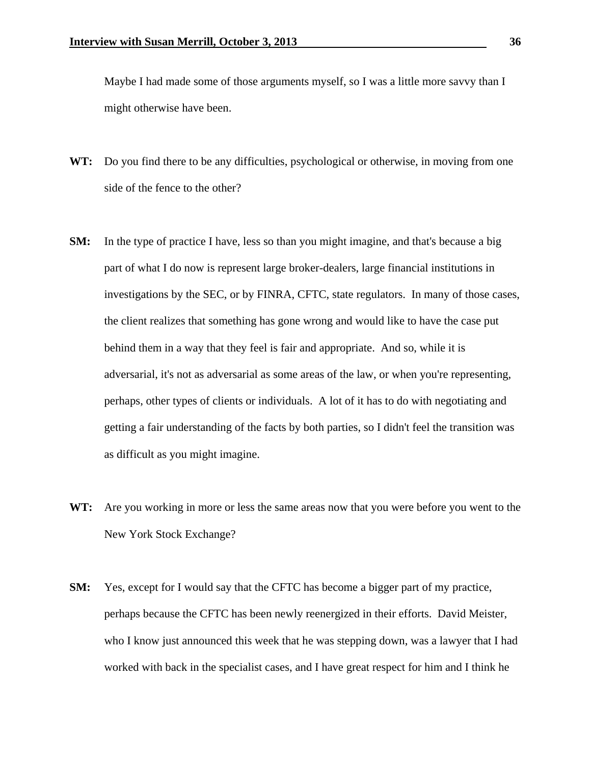Maybe I had made some of those arguments myself, so I was a little more savvy than I might otherwise have been.

- WT: Do you find there to be any difficulties, psychological or otherwise, in moving from one side of the fence to the other?
- **SM:** In the type of practice I have, less so than you might imagine, and that's because a big part of what I do now is represent large broker-dealers, large financial institutions in investigations by the SEC, or by FINRA, CFTC, state regulators. In many of those cases, the client realizes that something has gone wrong and would like to have the case put behind them in a way that they feel is fair and appropriate. And so, while it is adversarial, it's not as adversarial as some areas of the law, or when you're representing, perhaps, other types of clients or individuals. A lot of it has to do with negotiating and getting a fair understanding of the facts by both parties, so I didn't feel the transition was as difficult as you might imagine.
- **WT:** Are you working in more or less the same areas now that you were before you went to the New York Stock Exchange?
- **SM:** Yes, except for I would say that the CFTC has become a bigger part of my practice, perhaps because the CFTC has been newly reenergized in their efforts. David Meister, who I know just announced this week that he was stepping down, was a lawyer that I had worked with back in the specialist cases, and I have great respect for him and I think he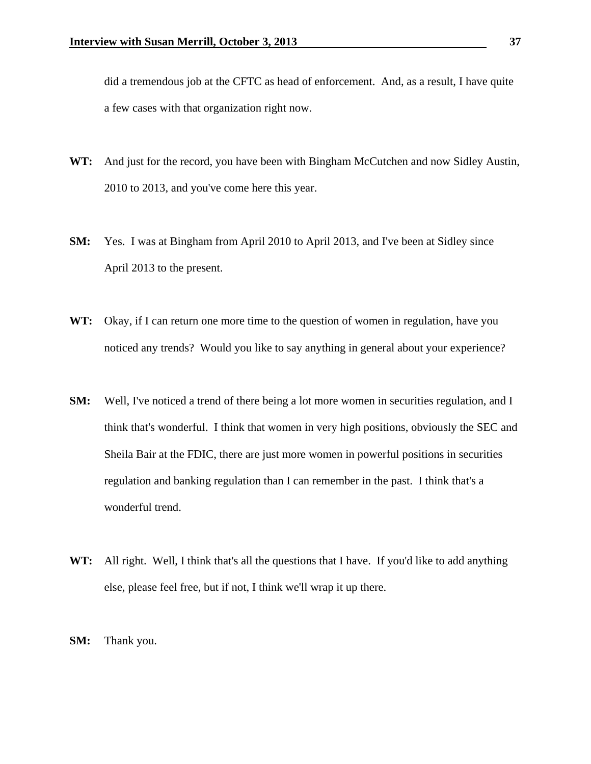did a tremendous job at the CFTC as head of enforcement. And, as a result, I have quite a few cases with that organization right now.

- **WT:** And just for the record, you have been with Bingham McCutchen and now Sidley Austin, 2010 to 2013, and you've come here this year.
- **SM:** Yes. I was at Bingham from April 2010 to April 2013, and I've been at Sidley since April 2013 to the present.
- **WT:** Okay, if I can return one more time to the question of women in regulation, have you noticed any trends? Would you like to say anything in general about your experience?
- **SM:** Well, I've noticed a trend of there being a lot more women in securities regulation, and I think that's wonderful. I think that women in very high positions, obviously the SEC and Sheila Bair at the FDIC, there are just more women in powerful positions in securities regulation and banking regulation than I can remember in the past. I think that's a wonderful trend.
- WT: All right. Well, I think that's all the questions that I have. If you'd like to add anything else, please feel free, but if not, I think we'll wrap it up there.
- **SM:** Thank you.